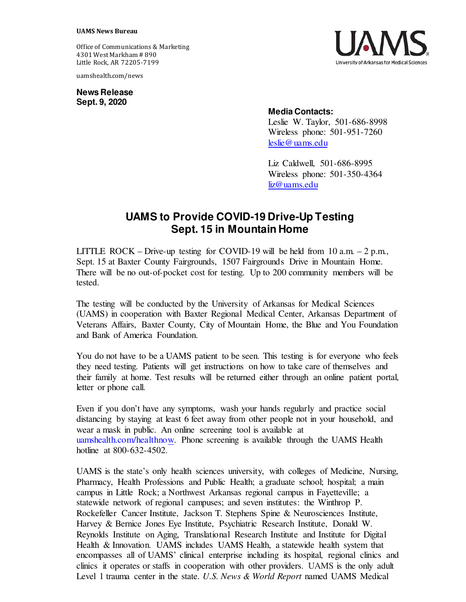Office of Communications & Marketing 4301 West Markham # 890 Little Rock, AR 72205-7199

uamshealth.com/news

**News Release Sept. 9, 2020**



## **Media Contacts:**

Leslie W. Taylor, 501-686-8998 Wireless phone: 501-951-7260 [leslie@uams.edu](mailto:leslie@uams.edu)

Liz Caldwell, 501-686-8995 Wireless phone: 501-350-4364 [liz@uams.edu](mailto:liz@uams.edu)

## **UAMS to Provide COVID-19 Drive-Up Testing Sept. 15 in Mountain Home**

LITTLE ROCK – Drive-up testing for COVID-19 will be held from 10 a.m.  $-2$  p.m., Sept. 15 at Baxter County Fairgrounds, 1507 Fairgrounds Drive in Mountain Home. There will be no out-of-pocket cost for testing. Up to 200 community members will be tested.

The testing will be conducted by the University of Arkansas for Medical Sciences (UAMS) in cooperation with Baxter Regional Medical Center, Arkansas Department of Veterans Affairs, Baxter County, City of Mountain Home, the Blue and You Foundation and Bank of America Foundation.

You do not have to be a UAMS patient to be seen. This testing is for everyone who feels they need testing. Patients will get instructions on how to take care of themselves and their family at home. Test results will be returned either through an online patient portal, letter or phone call.

Even if you don't have any symptoms, wash your hands regularly and practice social distancing by staying at least 6 feet away from other people not in your household, and wear a mask in public. An online screening tool is available at [uamshealth.com/healthnow.](https://uamshealth.com/healthnow/) Phone screening is available through the UAMS Health hotline at 800-632-4502.

UAMS is the state's only health sciences university, with colleges of Medicine, Nursing, Pharmacy, Health Professions and Public Health; a graduate school; hospital; a main campus in Little Rock; a Northwest Arkansas regional campus in Fayetteville; a statewide network of regional campuses; and seven institutes: the Winthrop P. Rockefeller Cancer Institute, Jackson T. Stephens Spine & Neurosciences Institute, Harvey & Bernice Jones Eye Institute, Psychiatric Research Institute, Donald W. Reynolds Institute on Aging, Translational Research Institute and Institute for Digital Health & Innovation. UAMS includes UAMS Health, a statewide health system that encompasses all of UAMS' clinical enterprise including its hospital, regional clinics and clinics it operates or staffs in cooperation with other providers. UAMS is the only adult Level 1 trauma center in the state. *U.S. News & World Report* named UAMS Medical